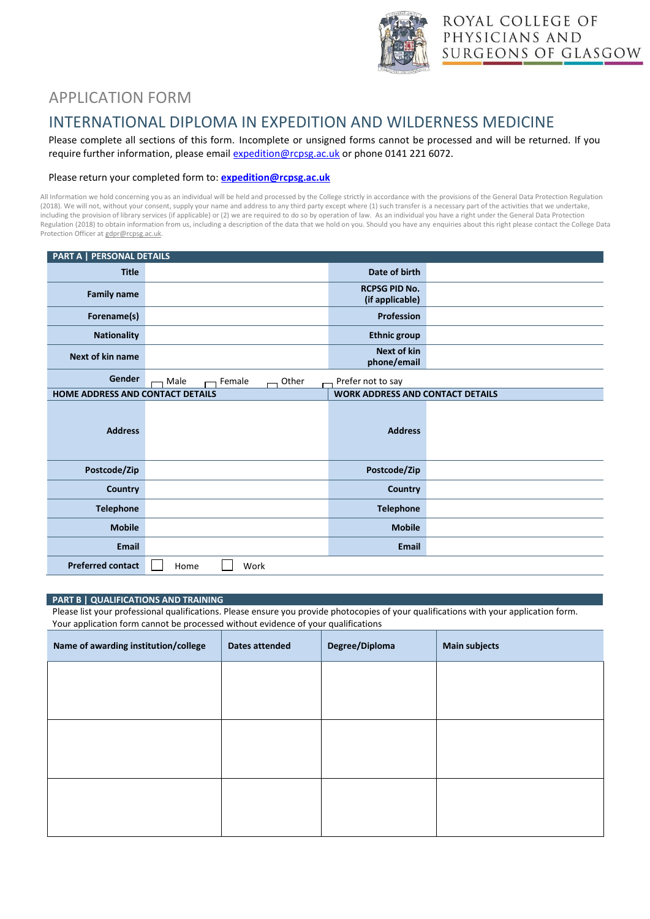

# APPLICATION FORM

## INTERNATIONAL DIPLOMA IN EXPEDITION AND WILDERNESS MEDICINE

Please complete all sections of this form. Incomplete or unsigned forms cannot be processed and will be returned. If you require further information, please emai[l expedition@rcpsg.ac.uk](mailto:expedition@rcpsg.ac.uk) or phone 0141 221 6072.

### Please return your completed form to: **[expedition@rcpsg.ac.uk](mailto:expedition@rcpsg.ac.uk)**

All Information we hold concerning you as an individual will be held and processed by the College strictly in accordance with the provisions of the General Data Protection Regulation (2018). We will not, without your consent, supply your name and address to any third party except where (1) such transfer is a necessary part of the activities that we undertake, including the provision of library services (if applicable) or (2) we are required to do so by operation of law. As an individual you have a right under the General Data Protection Regulation (2018) to obtain information from us, including a description of the data that we hold on you. Should you have any enquiries about this right please contact the College Data Protection Officer a[t gdpr@rcpsg.ac.uk.](mailto:gdpr@rcpsg.ac.uk)

| PART A   PERSONAL DETAILS        |                         |                                         |  |  |
|----------------------------------|-------------------------|-----------------------------------------|--|--|
| <b>Title</b>                     |                         | Date of birth                           |  |  |
| <b>Family name</b>               |                         | <b>RCPSG PID No.</b><br>(if applicable) |  |  |
| Forename(s)                      |                         | Profession                              |  |  |
| <b>Nationality</b>               |                         | <b>Ethnic group</b>                     |  |  |
| <b>Next of kin name</b>          |                         | <b>Next of kin</b><br>phone/email       |  |  |
| Gender                           | Male<br>Female<br>Other | Prefer not to say                       |  |  |
| HOME ADDRESS AND CONTACT DETAILS |                         | <b>WORK ADDRESS AND CONTACT DETAILS</b> |  |  |
| <b>Address</b>                   |                         | <b>Address</b>                          |  |  |
| Postcode/Zip                     |                         | Postcode/Zip                            |  |  |
| <b>Country</b>                   |                         | <b>Country</b>                          |  |  |
| <b>Telephone</b>                 |                         | <b>Telephone</b>                        |  |  |
| <b>Mobile</b>                    |                         | <b>Mobile</b>                           |  |  |
| <b>Email</b>                     |                         | <b>Email</b>                            |  |  |
| <b>Preferred contact</b>         | Home<br>Work            |                                         |  |  |

#### **PART B | QUALIFICATIONS AND TRAINING**

Please list your professional qualifications. Please ensure you provide photocopies of your qualifications with your application form. Your application form cannot be processed without evidence of your qualifications

| Name of awarding institution/college | Dates attended | Degree/Diploma | <b>Main subjects</b> |
|--------------------------------------|----------------|----------------|----------------------|
|                                      |                |                |                      |
|                                      |                |                |                      |
|                                      |                |                |                      |
|                                      |                |                |                      |
|                                      |                |                |                      |
|                                      |                |                |                      |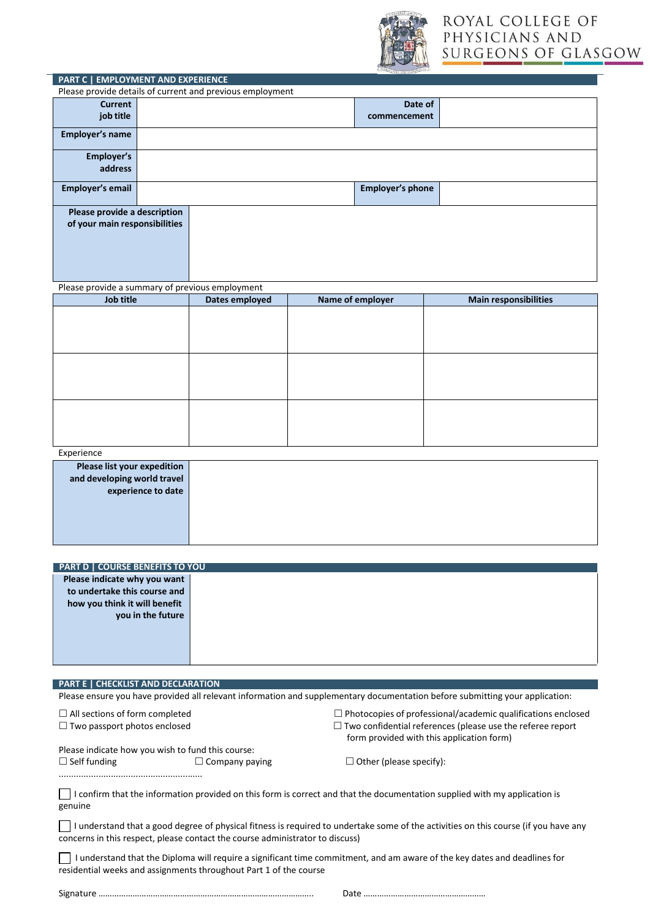

| PART C   EMPLOYMENT AND EXPERIENCE                                                                                                                                 |                    |                                                           |  |                         |                                                                     |  |
|--------------------------------------------------------------------------------------------------------------------------------------------------------------------|--------------------|-----------------------------------------------------------|--|-------------------------|---------------------------------------------------------------------|--|
|                                                                                                                                                                    |                    | Please provide details of current and previous employment |  |                         |                                                                     |  |
| <b>Current</b><br>job title                                                                                                                                        |                    | Date of                                                   |  |                         |                                                                     |  |
|                                                                                                                                                                    |                    | commencement                                              |  |                         |                                                                     |  |
| Employer's name                                                                                                                                                    |                    |                                                           |  |                         |                                                                     |  |
| Employer's                                                                                                                                                         |                    |                                                           |  |                         |                                                                     |  |
| address                                                                                                                                                            |                    |                                                           |  |                         |                                                                     |  |
| <b>Employer's email</b>                                                                                                                                            |                    |                                                           |  | <b>Employer's phone</b> |                                                                     |  |
| Please provide a description                                                                                                                                       |                    |                                                           |  |                         |                                                                     |  |
| of your main responsibilities                                                                                                                                      |                    |                                                           |  |                         |                                                                     |  |
|                                                                                                                                                                    |                    |                                                           |  |                         |                                                                     |  |
|                                                                                                                                                                    |                    |                                                           |  |                         |                                                                     |  |
|                                                                                                                                                                    |                    |                                                           |  |                         |                                                                     |  |
| Please provide a summary of previous employment                                                                                                                    |                    |                                                           |  |                         |                                                                     |  |
| <b>Job title</b>                                                                                                                                                   |                    | Dates employed                                            |  | Name of employer        | <b>Main responsibilities</b>                                        |  |
|                                                                                                                                                                    |                    |                                                           |  |                         |                                                                     |  |
|                                                                                                                                                                    |                    |                                                           |  |                         |                                                                     |  |
|                                                                                                                                                                    |                    |                                                           |  |                         |                                                                     |  |
|                                                                                                                                                                    |                    |                                                           |  |                         |                                                                     |  |
|                                                                                                                                                                    |                    |                                                           |  |                         |                                                                     |  |
|                                                                                                                                                                    |                    |                                                           |  |                         |                                                                     |  |
|                                                                                                                                                                    |                    |                                                           |  |                         |                                                                     |  |
|                                                                                                                                                                    |                    |                                                           |  |                         |                                                                     |  |
|                                                                                                                                                                    |                    |                                                           |  |                         |                                                                     |  |
| Experience                                                                                                                                                         |                    |                                                           |  |                         |                                                                     |  |
| Please list your expedition<br>and developing world travel                                                                                                         |                    |                                                           |  |                         |                                                                     |  |
|                                                                                                                                                                    | experience to date |                                                           |  |                         |                                                                     |  |
|                                                                                                                                                                    |                    |                                                           |  |                         |                                                                     |  |
|                                                                                                                                                                    |                    |                                                           |  |                         |                                                                     |  |
|                                                                                                                                                                    |                    |                                                           |  |                         |                                                                     |  |
|                                                                                                                                                                    |                    |                                                           |  |                         |                                                                     |  |
| <b>PART D   COURSE BENEFITS TO YOU</b>                                                                                                                             |                    |                                                           |  |                         |                                                                     |  |
| Please indicate why you want                                                                                                                                       |                    |                                                           |  |                         |                                                                     |  |
| to undertake this course and<br>how you think it will benefit                                                                                                      |                    |                                                           |  |                         |                                                                     |  |
|                                                                                                                                                                    | you in the future  |                                                           |  |                         |                                                                     |  |
|                                                                                                                                                                    |                    |                                                           |  |                         |                                                                     |  |
|                                                                                                                                                                    |                    |                                                           |  |                         |                                                                     |  |
|                                                                                                                                                                    |                    |                                                           |  |                         |                                                                     |  |
|                                                                                                                                                                    |                    |                                                           |  |                         |                                                                     |  |
| PART E   CHECKLIST AND DECLARATION<br>Please ensure you have provided all relevant information and supplementary documentation before submitting your application: |                    |                                                           |  |                         |                                                                     |  |
| $\Box$ All sections of form completed                                                                                                                              |                    |                                                           |  |                         | $\Box$ Photocopies of professional/academic qualifications enclosed |  |
| $\Box$ Two passport photos enclosed                                                                                                                                |                    |                                                           |  |                         | $\Box$ Two confidential references (please use the referee report   |  |
|                                                                                                                                                                    |                    |                                                           |  |                         | form provided with this application form)                           |  |
| Please indicate how you wish to fund this course:                                                                                                                  |                    |                                                           |  |                         |                                                                     |  |
| $\Box$ Self funding<br>$\Box$ Company paying<br>$\Box$ Other (please specify):                                                                                     |                    |                                                           |  |                         |                                                                     |  |
|                                                                                                                                                                    |                    |                                                           |  |                         |                                                                     |  |
| I confirm that the information provided on this form is correct and that the documentation supplied with my application is                                         |                    |                                                           |  |                         |                                                                     |  |
| genuine                                                                                                                                                            |                    |                                                           |  |                         |                                                                     |  |
| I understand that a good degree of physical fitness is required to undertake some of the activities on this course (if you have any                                |                    |                                                           |  |                         |                                                                     |  |
| concerns in this respect, please contact the course administrator to discuss)                                                                                      |                    |                                                           |  |                         |                                                                     |  |
| I understand that the Diploma will require a significant time commitment, and am aware of the key dates and deadlines for                                          |                    |                                                           |  |                         |                                                                     |  |
| residential weeks and assignments throughout Part 1 of the course                                                                                                  |                    |                                                           |  |                         |                                                                     |  |
|                                                                                                                                                                    |                    |                                                           |  |                         |                                                                     |  |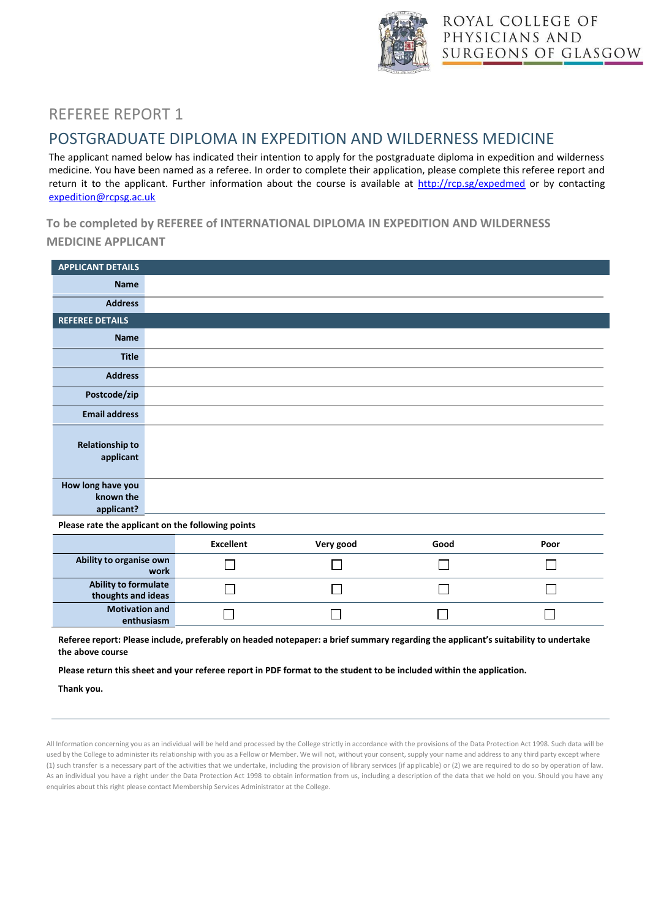

## REFEREE REPORT 1

## POSTGRADUATE DIPLOMA IN EXPEDITION AND WILDERNESS MEDICINE

The applicant named below has indicated their intention to apply for the postgraduate diploma in expedition and wilderness medicine. You have been named as a referee. In order to complete their application, please complete this referee report and return it to the applicant. Further information about the course is available at<http://rcp.sg/expedmed> or by contacting [expedition@rcpsg.ac.uk](mailto:expedition@rcpsg.ac.uk)

**To be completed by REFEREE of INTERNATIONAL DIPLOMA IN EXPEDITION AND WILDERNESS**

### **MEDICINE APPLICANT**

| <b>APPLICANT DETAILS</b>                     |  |
|----------------------------------------------|--|
| <b>Name</b>                                  |  |
| <b>Address</b>                               |  |
| <b>REFEREE DETAILS</b>                       |  |
| <b>Name</b>                                  |  |
| <b>Title</b>                                 |  |
| <b>Address</b>                               |  |
| Postcode/zip                                 |  |
| <b>Email address</b>                         |  |
| <b>Relationship to</b><br>applicant          |  |
| How long have you<br>known the<br>applicant? |  |

**Please rate the applicant on the following points**

|                                                   | <b>Excellent</b> | Very good | Good | Poor |
|---------------------------------------------------|------------------|-----------|------|------|
| Ability to organise own<br>work                   |                  |           |      |      |
| <b>Ability to formulate</b><br>thoughts and ideas |                  |           |      |      |
| <b>Motivation and</b><br>enthusiasm               |                  |           |      |      |

Referee report: Please include, preferably on headed notepaper: a brief summary regarding the applicant's suitability to undertake **the above course**

**Please return this sheet and your referee report in PDF format to the student to be included within the application.**

**Thank you.**

All Information concerning you as an individual will be held and processed by the College strictly in accordance with the provisions of the Data Protection Act 1998. Such data will be used by the College to administer its relationship with you as a Fellow or Member. We will not, without your consent, supply your name and address to any third party except where (1) such transfer is a necessary part of the activities that we undertake, including the provision of library services (if applicable) or (2) we are required to do so by operation of law. As an individual you have a right under the Data Protection Act 1998 to obtain information from us, including a description of the data that we hold on you. Should you have any enquiries about this right please contact Membership Services Administrator at the College.